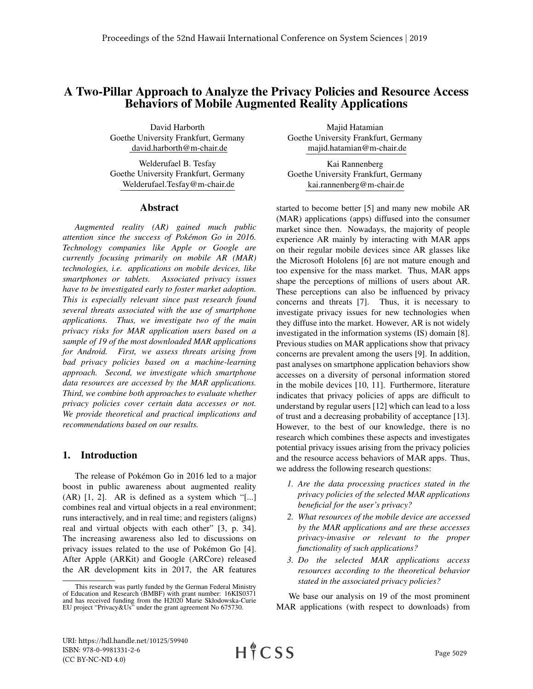# A Two-Pillar Approach to Analyze the Privacy Policies and Resource Access Behaviors of Mobile Augmented Reality Applications

David Harborth Goethe University Frankfurt, Germany david.harborth@m-chair.de

Welderufael B. Tesfay Goethe University Frankfurt, Germany Welderufael.Tesfay@m-chair.de

### Abstract

*Augmented reality (AR) gained much public attention since the success of Pokemon Go in 2016. ´ Technology companies like Apple or Google are currently focusing primarily on mobile AR (MAR) technologies, i.e. applications on mobile devices, like smartphones or tablets. Associated privacy issues have to be investigated early to foster market adoption. This is especially relevant since past research found several threats associated with the use of smartphone applications. Thus, we investigate two of the main privacy risks for MAR application users based on a sample of 19 of the most downloaded MAR applications for Android. First, we assess threats arising from bad privacy policies based on a machine-learning approach. Second, we investigate which smartphone data resources are accessed by the MAR applications. Third, we combine both approaches to evaluate whether privacy policies cover certain data accesses or not. We provide theoretical and practical implications and recommendations based on our results.*

# 1. Introduction

The release of Pokémon Go in 2016 led to a major boost in public awareness about augmented reality (AR) [1, 2]. AR is defined as a system which "[...] combines real and virtual objects in a real environment; runs interactively, and in real time; and registers (aligns) real and virtual objects with each other" [3, p. 34]. The increasing awareness also led to discussions on privacy issues related to the use of Pokémon Go [4]. After Apple (ARKit) and Google (ARCore) released the AR development kits in 2017, the AR features

Majid Hatamian Goethe University Frankfurt, Germany majid.hatamian@m-chair.de

Kai Rannenberg Goethe University Frankfurt, Germany kai.rannenberg@m-chair.de

started to become better [5] and many new mobile AR (MAR) applications (apps) diffused into the consumer market since then. Nowadays, the majority of people experience AR mainly by interacting with MAR apps on their regular mobile devices since AR glasses like the Microsoft Hololens [6] are not mature enough and too expensive for the mass market. Thus, MAR apps shape the perceptions of millions of users about AR. These perceptions can also be influenced by privacy concerns and threats [7]. Thus, it is necessary to investigate privacy issues for new technologies when they diffuse into the market. However, AR is not widely investigated in the information systems (IS) domain [8]. Previous studies on MAR applications show that privacy concerns are prevalent among the users [9]. In addition, past analyses on smartphone application behaviors show accesses on a diversity of personal information stored in the mobile devices [10, 11]. Furthermore, literature indicates that privacy policies of apps are difficult to understand by regular users [12] which can lead to a loss of trust and a decreasing probability of acceptance [13]. However, to the best of our knowledge, there is no research which combines these aspects and investigates potential privacy issues arising from the privacy policies and the resource access behaviors of MAR apps. Thus, we address the following research questions:

- *1. Are the data processing practices stated in the privacy policies of the selected MAR applications beneficial for the user's privacy?*
- *2. What resources of the mobile device are accessed by the MAR applications and are these accesses privacy-invasive or relevant to the proper functionality of such applications?*
- *3. Do the selected MAR applications access resources according to the theoretical behavior stated in the associated privacy policies?*

We base our analysis on 19 of the most prominent MAR applications (with respect to downloads) from

This research was partly funded by the German Federal Ministry of Education and Research (BMBF) with grant number: 16KIS0371 and has received funding from the H2020 Marie Skłodowska-Curie EU project "Privacy&Us" under the grant agreement No 675730.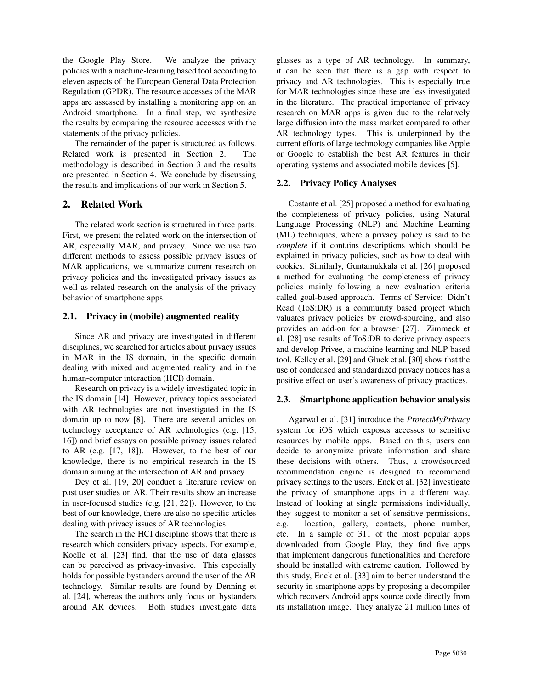the Google Play Store. We analyze the privacy policies with a machine-learning based tool according to eleven aspects of the European General Data Protection Regulation (GPDR). The resource accesses of the MAR apps are assessed by installing a monitoring app on an Android smartphone. In a final step, we synthesize the results by comparing the resource accesses with the statements of the privacy policies.

The remainder of the paper is structured as follows. Related work is presented in Section 2. The methodology is described in Section 3 and the results are presented in Section 4. We conclude by discussing the results and implications of our work in Section 5.

# 2. Related Work

The related work section is structured in three parts. First, we present the related work on the intersection of AR, especially MAR, and privacy. Since we use two different methods to assess possible privacy issues of MAR applications, we summarize current research on privacy policies and the investigated privacy issues as well as related research on the analysis of the privacy behavior of smartphone apps.

## 2.1. Privacy in (mobile) augmented reality

Since AR and privacy are investigated in different disciplines, we searched for articles about privacy issues in MAR in the IS domain, in the specific domain dealing with mixed and augmented reality and in the human-computer interaction (HCI) domain.

Research on privacy is a widely investigated topic in the IS domain [14]. However, privacy topics associated with AR technologies are not investigated in the IS domain up to now [8]. There are several articles on technology acceptance of AR technologies (e.g. [15, 16]) and brief essays on possible privacy issues related to AR (e.g. [17, 18]). However, to the best of our knowledge, there is no empirical research in the IS domain aiming at the intersection of AR and privacy.

Dey et al. [19, 20] conduct a literature review on past user studies on AR. Their results show an increase in user-focused studies (e.g. [21, 22]). However, to the best of our knowledge, there are also no specific articles dealing with privacy issues of AR technologies.

The search in the HCI discipline shows that there is research which considers privacy aspects. For example, Koelle et al. [23] find, that the use of data glasses can be perceived as privacy-invasive. This especially holds for possible bystanders around the user of the AR technology. Similar results are found by Denning et al. [24], whereas the authors only focus on bystanders around AR devices. Both studies investigate data

glasses as a type of AR technology. In summary, it can be seen that there is a gap with respect to privacy and AR technologies. This is especially true for MAR technologies since these are less investigated in the literature. The practical importance of privacy research on MAR apps is given due to the relatively large diffusion into the mass market compared to other AR technology types. This is underpinned by the current efforts of large technology companies like Apple or Google to establish the best AR features in their operating systems and associated mobile devices [5].

# 2.2. Privacy Policy Analyses

Costante et al. [25] proposed a method for evaluating the completeness of privacy policies, using Natural Language Processing (NLP) and Machine Learning (ML) techniques, where a privacy policy is said to be *complete* if it contains descriptions which should be explained in privacy policies, such as how to deal with cookies. Similarly, Guntamukkala et al. [26] proposed a method for evaluating the completeness of privacy policies mainly following a new evaluation criteria called goal-based approach. Terms of Service: Didn't Read (ToS:DR) is a community based project which valuates privacy policies by crowd-sourcing, and also provides an add-on for a browser [27]. Zimmeck et al. [28] use results of ToS:DR to derive privacy aspects and develop Privee, a machine learning and NLP based tool. Kelley et al. [29] and Gluck et al. [30] show that the use of condensed and standardized privacy notices has a positive effect on user's awareness of privacy practices.

# 2.3. Smartphone application behavior analysis

Agarwal et al. [31] introduce the *ProtectMyPrivacy* system for iOS which exposes accesses to sensitive resources by mobile apps. Based on this, users can decide to anonymize private information and share these decisions with others. Thus, a crowdsourced recommendation engine is designed to recommend privacy settings to the users. Enck et al. [32] investigate the privacy of smartphone apps in a different way. Instead of looking at single permissions individually, they suggest to monitor a set of sensitive permissions, e.g. location, gallery, contacts, phone number, etc. In a sample of 311 of the most popular apps downloaded from Google Play, they find five apps that implement dangerous functionalities and therefore should be installed with extreme caution. Followed by this study, Enck et al. [33] aim to better understand the security in smartphone apps by proposing a decompiler which recovers Android apps source code directly from its installation image. They analyze 21 million lines of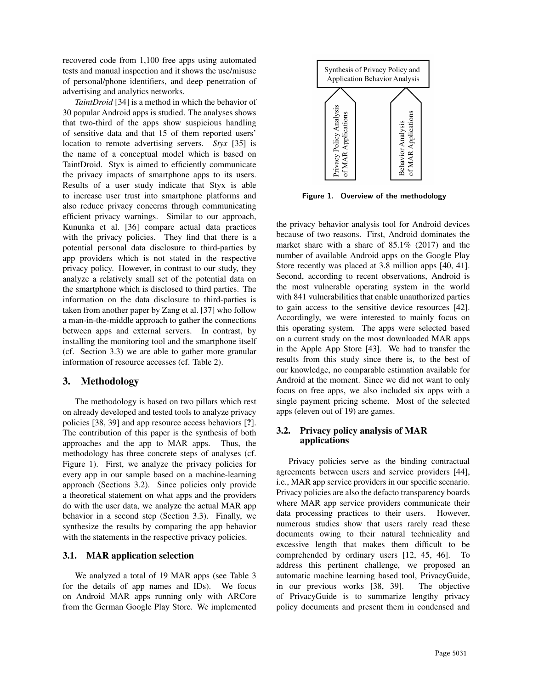recovered code from 1,100 free apps using automated tests and manual inspection and it shows the use/misuse of personal/phone identifiers, and deep penetration of advertising and analytics networks.

*TaintDroid* [34] is a method in which the behavior of 30 popular Android apps is studied. The analyses shows that two-third of the apps show suspicious handling of sensitive data and that 15 of them reported users' location to remote advertising servers. *Styx* [35] is the name of a conceptual model which is based on TaintDroid. Styx is aimed to efficiently communicate the privacy impacts of smartphone apps to its users. Results of a user study indicate that Styx is able to increase user trust into smartphone platforms and also reduce privacy concerns through communicating efficient privacy warnings. Similar to our approach, Kununka et al. [36] compare actual data practices with the privacy policies. They find that there is a potential personal data disclosure to third-parties by app providers which is not stated in the respective privacy policy. However, in contrast to our study, they analyze a relatively small set of the potential data on the smartphone which is disclosed to third parties. The information on the data disclosure to third-parties is taken from another paper by Zang et al. [37] who follow a man-in-the-middle approach to gather the connections between apps and external servers. In contrast, by installing the monitoring tool and the smartphone itself (cf. Section 3.3) we are able to gather more granular information of resource accesses (cf. Table 2).

# 3. Methodology

The methodology is based on two pillars which rest on already developed and tested tools to analyze privacy policies [38, 39] and app resource access behaviors [?]. The contribution of this paper is the synthesis of both approaches and the app to MAR apps. Thus, the methodology has three concrete steps of analyses (cf. Figure 1). First, we analyze the privacy policies for every app in our sample based on a machine-learning approach (Sections 3.2). Since policies only provide a theoretical statement on what apps and the providers do with the user data, we analyze the actual MAR app behavior in a second step (Section 3.3). Finally, we synthesize the results by comparing the app behavior with the statements in the respective privacy policies.

# 3.1. MAR application selection

We analyzed a total of 19 MAR apps (see Table 3 for the details of app names and IDs). We focus on Android MAR apps running only with ARCore from the German Google Play Store. We implemented



Figure 1. Overview of the methodology

the privacy behavior analysis tool for Android devices because of two reasons. First, Android dominates the market share with a share of 85.1% (2017) and the number of available Android apps on the Google Play Store recently was placed at 3.8 million apps [40, 41]. Second, according to recent observations, Android is the most vulnerable operating system in the world with 841 vulnerabilities that enable unauthorized parties to gain access to the sensitive device resources [42]. Accordingly, we were interested to mainly focus on this operating system. The apps were selected based on a current study on the most downloaded MAR apps in the Apple App Store [43]. We had to transfer the results from this study since there is, to the best of our knowledge, no comparable estimation available for Android at the moment. Since we did not want to only focus on free apps, we also included six apps with a single payment pricing scheme. Most of the selected apps (eleven out of 19) are games.

## 3.2. Privacy policy analysis of MAR applications

Privacy policies serve as the binding contractual agreements between users and service providers [44], i.e., MAR app service providers in our specific scenario. Privacy policies are also the defacto transparency boards where MAR app service providers communicate their data processing practices to their users. However, numerous studies show that users rarely read these documents owing to their natural technicality and excessive length that makes them difficult to be comprehended by ordinary users [12, 45, 46]. To address this pertinent challenge, we proposed an automatic machine learning based tool, PrivacyGuide, in our previous works [38, 39]. The objective of PrivacyGuide is to summarize lengthy privacy policy documents and present them in condensed and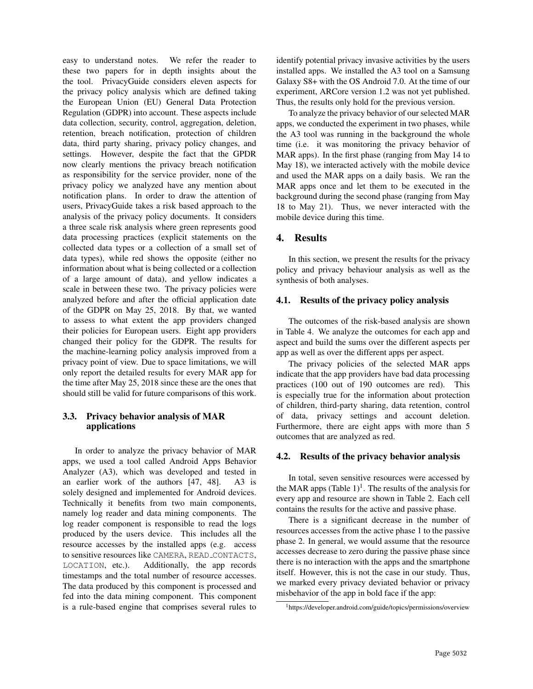easy to understand notes. We refer the reader to these two papers for in depth insights about the the tool. PrivacyGuide considers eleven aspects for the privacy policy analysis which are defined taking the European Union (EU) General Data Protection Regulation (GDPR) into account. These aspects include data collection, security, control, aggregation, deletion, retention, breach notification, protection of children data, third party sharing, privacy policy changes, and settings. However, despite the fact that the GPDR now clearly mentions the privacy breach notification as responsibility for the service provider, none of the privacy policy we analyzed have any mention about notification plans. In order to draw the attention of users, PrivacyGuide takes a risk based approach to the analysis of the privacy policy documents. It considers a three scale risk analysis where green represents good data processing practices (explicit statements on the collected data types or a collection of a small set of data types), while red shows the opposite (either no information about what is being collected or a collection of a large amount of data), and yellow indicates a scale in between these two. The privacy policies were analyzed before and after the official application date of the GDPR on May 25, 2018. By that, we wanted to assess to what extent the app providers changed their policies for European users. Eight app providers changed their policy for the GDPR. The results for the machine-learning policy analysis improved from a privacy point of view. Due to space limitations, we will only report the detailed results for every MAR app for the time after May 25, 2018 since these are the ones that should still be valid for future comparisons of this work.

## 3.3. Privacy behavior analysis of MAR applications

In order to analyze the privacy behavior of MAR apps, we used a tool called Android Apps Behavior Analyzer (A3), which was developed and tested in an earlier work of the authors [47, 48]. A3 is solely designed and implemented for Android devices. Technically it benefits from two main components, namely log reader and data mining components. The log reader component is responsible to read the logs produced by the users device. This includes all the resource accesses by the installed apps (e.g. access to sensitive resources like CAMERA, READ CONTACTS, LOCATION, etc.). Additionally, the app records timestamps and the total number of resource accesses. The data produced by this component is processed and fed into the data mining component. This component is a rule-based engine that comprises several rules to

identify potential privacy invasive activities by the users installed apps. We installed the A3 tool on a Samsung Galaxy S8+ with the OS Android 7.0. At the time of our experiment, ARCore version 1.2 was not yet published. Thus, the results only hold for the previous version.

To analyze the privacy behavior of our selected MAR apps, we conducted the experiment in two phases, while the A3 tool was running in the background the whole time (i.e. it was monitoring the privacy behavior of MAR apps). In the first phase (ranging from May 14 to May 18), we interacted actively with the mobile device and used the MAR apps on a daily basis. We ran the MAR apps once and let them to be executed in the background during the second phase (ranging from May 18 to May 21). Thus, we never interacted with the mobile device during this time.

# 4. Results

In this section, we present the results for the privacy policy and privacy behaviour analysis as well as the synthesis of both analyses.

### 4.1. Results of the privacy policy analysis

The outcomes of the risk-based analysis are shown in Table 4. We analyze the outcomes for each app and aspect and build the sums over the different aspects per app as well as over the different apps per aspect.

The privacy policies of the selected MAR apps indicate that the app providers have bad data processing practices (100 out of 190 outcomes are red). This is especially true for the information about protection of children, third-party sharing, data retention, control of data, privacy settings and account deletion. Furthermore, there are eight apps with more than 5 outcomes that are analyzed as red.

### 4.2. Results of the privacy behavior analysis

In total, seven sensitive resources were accessed by the MAR apps  $(Table 1)^1$ . The results of the analysis for every app and resource are shown in Table 2. Each cell contains the results for the active and passive phase.

There is a significant decrease in the number of resources accesses from the active phase 1 to the passive phase 2. In general, we would assume that the resource accesses decrease to zero during the passive phase since there is no interaction with the apps and the smartphone itself. However, this is not the case in our study. Thus, we marked every privacy deviated behavior or privacy misbehavior of the app in bold face if the app:

<sup>1</sup>https://developer.android.com/guide/topics/permissions/overview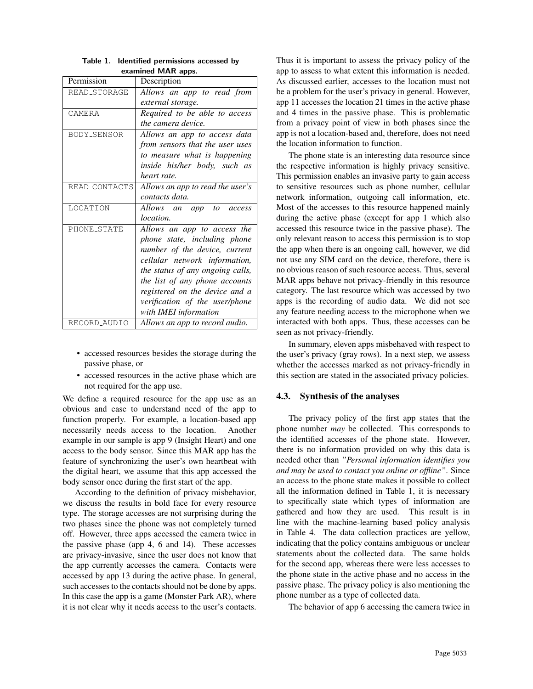| Permission    | Description                      |
|---------------|----------------------------------|
| READ_STORAGE  | Allows an app to read from       |
|               | external storage.                |
| CAMERA        | Required to be able to access    |
|               | <i>the camera device.</i>        |
| BODY_SENSOR   | Allows an app to access data     |
|               | from sensors that the user uses  |
|               | to measure what is happening     |
|               | inside his/her body, such as     |
|               | heart rate.                      |
| READ_CONTACTS | Allows an app to read the user's |
|               | contacts data.                   |
| LOCATION      | Allows an app to<br>access       |
|               | <i>location.</i>                 |
| PHONE_STATE   | Allows an app to access the      |
|               | phone state, including phone     |
|               | number of the device, current    |
|               | cellular network information,    |
|               | the status of any ongoing calls, |
|               | the list of any phone accounts   |
|               | registered on the device and a   |
|               | verification of the user/phone   |
|               | with IMEI information            |
| RECORD_AUDIO  | Allows an app to record audio.   |

Table 1. Identified permissions accessed by examined MAR apps.

- accessed resources besides the storage during the passive phase, or
- accessed resources in the active phase which are not required for the app use.

We define a required resource for the app use as an obvious and ease to understand need of the app to function properly. For example, a location-based app necessarily needs access to the location. Another example in our sample is app 9 (Insight Heart) and one access to the body sensor. Since this MAR app has the feature of synchronizing the user's own heartbeat with the digital heart, we assume that this app accessed the body sensor once during the first start of the app.

According to the definition of privacy misbehavior, we discuss the results in bold face for every resource type. The storage accesses are not surprising during the two phases since the phone was not completely turned off. However, three apps accessed the camera twice in the passive phase (app 4, 6 and 14). These accesses are privacy-invasive, since the user does not know that the app currently accesses the camera. Contacts were accessed by app 13 during the active phase. In general, such accesses to the contacts should not be done by apps. In this case the app is a game (Monster Park AR), where it is not clear why it needs access to the user's contacts.

Thus it is important to assess the privacy policy of the app to assess to what extent this information is needed. As discussed earlier, accesses to the location must not be a problem for the user's privacy in general. However, app 11 accesses the location 21 times in the active phase and 4 times in the passive phase. This is problematic from a privacy point of view in both phases since the app is not a location-based and, therefore, does not need the location information to function.

The phone state is an interesting data resource since the respective information is highly privacy sensitive. This permission enables an invasive party to gain access to sensitive resources such as phone number, cellular network information, outgoing call information, etc. Most of the accesses to this resource happened mainly during the active phase (except for app 1 which also accessed this resource twice in the passive phase). The only relevant reason to access this permission is to stop the app when there is an ongoing call, however, we did not use any SIM card on the device, therefore, there is no obvious reason of such resource access. Thus, several MAR apps behave not privacy-friendly in this resource category. The last resource which was accessed by two apps is the recording of audio data. We did not see any feature needing access to the microphone when we interacted with both apps. Thus, these accesses can be seen as not privacy-friendly.

In summary, eleven apps misbehaved with respect to the user's privacy (gray rows). In a next step, we assess whether the accesses marked as not privacy-friendly in this section are stated in the associated privacy policies.

### 4.3. Synthesis of the analyses

The privacy policy of the first app states that the phone number *may* be collected. This corresponds to the identified accesses of the phone state. However, there is no information provided on why this data is needed other than *"Personal information identifies you and may be used to contact you online or offline"*. Since an access to the phone state makes it possible to collect all the information defined in Table 1, it is necessary to specifically state which types of information are gathered and how they are used. This result is in line with the machine-learning based policy analysis in Table 4. The data collection practices are yellow, indicating that the policy contains ambiguous or unclear statements about the collected data. The same holds for the second app, whereas there were less accesses to the phone state in the active phase and no access in the passive phase. The privacy policy is also mentioning the phone number as a type of collected data.

The behavior of app 6 accessing the camera twice in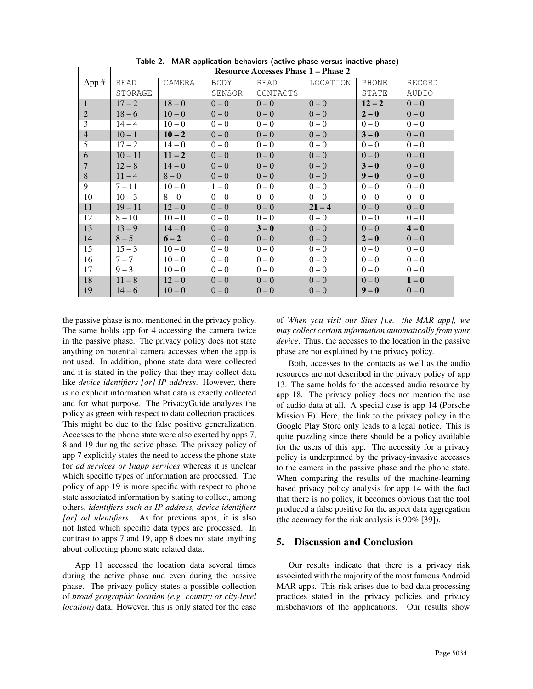|                | <b>Resource Accesses Phase 1 – Phase 2</b> |          |         |          |          |          |                     |  |  |  |
|----------------|--------------------------------------------|----------|---------|----------|----------|----------|---------------------|--|--|--|
| App #          | READ_                                      | CAMERA   | BODY_   | READ_    | LOCATION |          | RECORD <sub>-</sub> |  |  |  |
|                | STORAGE                                    |          | SENSOR  | CONTACTS |          | STATE    | AUDIO               |  |  |  |
| $\mathbf{1}$   | $17 - 2$                                   | $18 - 0$ | $0 - 0$ | $0 - 0$  | $0 - 0$  | $12 - 2$ | $0 - 0$             |  |  |  |
| 2              | $18 - 6$                                   | $10 - 0$ | $0 - 0$ | $0 - 0$  | $0 - 0$  | $2 - 0$  | $0 - 0$             |  |  |  |
| 3              | $14 - 4$                                   | $10 - 0$ | $0 - 0$ | $0 - 0$  | $0 - 0$  | $0 - 0$  | $0 - 0$             |  |  |  |
| $\overline{4}$ | $10 - 1$                                   | $10 - 2$ | $0 - 0$ | $0 - 0$  | $0 - 0$  | $3 - 0$  | $0 - 0$             |  |  |  |
| 5              | $17 - 2$                                   | $14 - 0$ | $0 - 0$ | $0 - 0$  | $0 - 0$  | $0 - 0$  | $0 - 0$             |  |  |  |
| 6              | $10 - 11$                                  | $11 - 2$ | $0 - 0$ | $0 - 0$  | $0 - 0$  | $0 - 0$  | $0 - 0$             |  |  |  |
| $\overline{7}$ | $12 - 8$                                   | $14 - 0$ | $0 - 0$ | $0 - 0$  | $0 - 0$  | $3 - 0$  | $0 - 0$             |  |  |  |
| 8              | $11 - 4$                                   | $8 - 0$  | $0 - 0$ | $0 - 0$  | $0 - 0$  | $9 - 0$  | $0 - 0$             |  |  |  |
| 9              | $7 - 11$                                   | $10 - 0$ | $1 - 0$ | $0 - 0$  | $0 - 0$  | $0 - 0$  | $0 - 0$             |  |  |  |
| 10             | $10 - 3$                                   | $8 - 0$  | $0 - 0$ | $0 - 0$  | $0 - 0$  | $0 - 0$  | $0 - 0$             |  |  |  |
| 11             | $19 - 11$                                  | $12 - 0$ | $0 - 0$ | $0 - 0$  | $21 - 4$ | $0 - 0$  | $0 - 0$             |  |  |  |
| 12             | $8 - 10$                                   | $10 - 0$ | $0 - 0$ | $0 - 0$  | $0 - 0$  | $0 - 0$  | $0 - 0$             |  |  |  |
| 13             | $13 - 9$                                   | $14 - 0$ | $0 - 0$ | $3 - 0$  | $0 - 0$  | $0 - 0$  | $4 - 0$             |  |  |  |
| 14             | $8 - 5$                                    | $6 - 2$  | $0 - 0$ | $0 - 0$  | $0 - 0$  | $2 - 0$  | $0 - 0$             |  |  |  |
| 15             | $15 - 3$                                   | $10 - 0$ | $0 - 0$ | $0 - 0$  | $0-0$    | $0 - 0$  | $0 - 0$             |  |  |  |
| 16             | $7 - 7$                                    | $10 - 0$ | $0 - 0$ | $0 - 0$  | $0 - 0$  | $0 - 0$  | $0 - 0$             |  |  |  |
| 17             | $9 - 3$                                    | $10 - 0$ | $0 - 0$ | $0 - 0$  | $0 - 0$  | $0 - 0$  | $0 - 0$             |  |  |  |
| 18             | $11 - 8$                                   | $12 - 0$ | $0 - 0$ | $0 - 0$  | $0 - 0$  | $0 - 0$  | $1-0$               |  |  |  |
| 19             | $14 - 6$                                   | $10 - 0$ | $0 - 0$ | $0 - 0$  | $0 - 0$  | $9 - 0$  | $0 - 0$             |  |  |  |

Table 2. MAR application behaviors (active phase versus inactive phase)

the passive phase is not mentioned in the privacy policy. The same holds app for 4 accessing the camera twice in the passive phase. The privacy policy does not state anything on potential camera accesses when the app is not used. In addition, phone state data were collected and it is stated in the policy that they may collect data like *device identifiers [or] IP address*. However, there is no explicit information what data is exactly collected and for what purpose. The PrivacyGuide analyzes the policy as green with respect to data collection practices. This might be due to the false positive generalization. Accesses to the phone state were also exerted by apps 7, 8 and 19 during the active phase. The privacy policy of app 7 explicitly states the need to access the phone state for *ad services or Inapp services* whereas it is unclear which specific types of information are processed. The policy of app 19 is more specific with respect to phone state associated information by stating to collect, among others, *identifiers such as IP address, device identifiers [or] ad identifiers*. As for previous apps, it is also not listed which specific data types are processed. In contrast to apps 7 and 19, app 8 does not state anything about collecting phone state related data.

App 11 accessed the location data several times during the active phase and even during the passive phase. The privacy policy states a possible collection of *broad geographic location (e.g. country or city-level location)* data. However, this is only stated for the case of *When you visit our Sites [i.e. the MAR app], we may collect certain information automatically from your device*. Thus, the accesses to the location in the passive phase are not explained by the privacy policy.

Both, accesses to the contacts as well as the audio resources are not described in the privacy policy of app 13. The same holds for the accessed audio resource by app 18. The privacy policy does not mention the use of audio data at all. A special case is app 14 (Porsche Mission E). Here, the link to the privacy policy in the Google Play Store only leads to a legal notice. This is quite puzzling since there should be a policy available for the users of this app. The necessity for a privacy policy is underpinned by the privacy-invasive accesses to the camera in the passive phase and the phone state. When comparing the results of the machine-learning based privacy policy analysis for app 14 with the fact that there is no policy, it becomes obvious that the tool produced a false positive for the aspect data aggregation (the accuracy for the risk analysis is 90% [39]).

## 5. Discussion and Conclusion

Our results indicate that there is a privacy risk associated with the majority of the most famous Android MAR apps. This risk arises due to bad data processing practices stated in the privacy policies and privacy misbehaviors of the applications. Our results show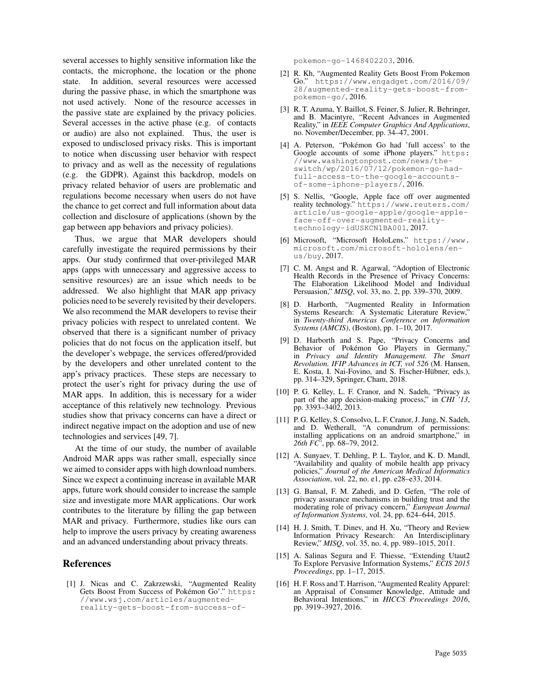several accesses to highly sensitive information like the contacts, the microphone, the location or the phone state. In addition, several resources were accessed during the passive phase, in which the smartphone was not used actively. None of the resource accesses in the passive state are explained by the privacy policies. Several accesses in the active phase (e.g. of contacts or audio) are also not explained. Thus, the user is exposed to undisclosed privacy risks. This is important to notice when discussing user behavior with respect to privacy and as well as the necessity of regulations (e.g. the GDPR). Against this backdrop, models on privacy related behavior of users are problematic and regulations become necessary when users do not have the chance to get correct and full information about data collection and disclosure of applications (shown by the gap between app behaviors and privacy policies).

Thus, we argue that MAR developers should carefully investigate the required permissions by their apps. Our study confirmed that over-privileged MAR apps (apps with unnecessary and aggressive access to sensitive resources) are an issue which needs to be addressed. We also highlight that MAR app privacy policies need to be severely revisited by their developers. We also recommend the MAR developers to revise their privacy policies with respect to unrelated content. We observed that there is a significant number of privacy policies that do not focus on the application itself, but the developer's webpage, the services offered/provided by the developers and other unrelated content to the app's privacy practices. These steps are necessary to protect the user's right for privacy during the use of MAR apps. In addition, this is necessary for a wider acceptance of this relatively new technology. Previous studies show that privacy concerns can have a direct or indirect negative impact on the adoption and use of new technologies and services [49, 7].

At the time of our study, the number of available Android MAR apps was rather small, especially since we aimed to consider apps with high download numbers. Since we expect a continuing increase in available MAR apps, future work should consider to increase the sample size and investigate more MAR applications. Our work contributes to the literature by filling the gap between MAR and privacy. Furthermore, studies like ours can help to improve the users privacy by creating awareness and an advanced understanding about privacy threats.

### References

[1] J. Nicas and C. Zakrzewski, "Augmented Reality Gets Boost From Success of Pokémon Go'." https: //www.wsj.com/articles/augmentedreality-gets-boost-from-success-ofpokemon-go-1468402203, 2016.

- [2] R. Kh, "Augmented Reality Gets Boost From Pokemon Go." https://www.engadget.com/2016/09/ 28/augmented-reality-gets-boost-frompokemon-go/, 2016.
- [3] R. T. Azuma, Y. Baillot, S. Feiner, S. Julier, R. Behringer, and B. Macintyre, "Recent Advances in Augmented Reality," in *IEEE Computer Graphics And Applications*, no. November/December, pp. 34–47, 2001.
- [4] A. Peterson, "Pokémon Go had 'full access' to the Google accounts of some iPhone players." https: //www.washingtonpost.com/news/theswitch/wp/2016/07/12/pokemon-go-hadfull-access-to-the-google-accountsof-some-iphone-players/, 2016.
- [5] S. Nellis, "Google, Apple face off over augmented reality technology." https://www.reuters.com/ article/us-google-apple/google-appleface-off-over-augmented-realitytechnology-idUSKCN1BA001, 2017.
- [6] Microsoft, "Microsoft HoloLens." https://www. microsoft.com/microsoft-hololens/enus/buy, 2017.
- [7] C. M. Angst and R. Agarwal, "Adoption of Electronic Health Records in the Presence of Privacy Concerns: The Elaboration Likelihood Model and Individual Persuasion," *MISQ*, vol. 33, no. 2, pp. 339–370, 2009.
- [8] D. Harborth, "Augmented Reality in Information Systems Research: A Systematic Literature Review," in *Twenty-third Americas Conference on Information Systems (AMCIS)*, (Boston), pp. 1–10, 2017.
- [9] D. Harborth and S. Pape, "Privacy Concerns and Behavior of Pokémon Go Players in Germany," in *Privacy and Identity Management. The Smart Revolution. IFIP Advances in ICT, vol 526* (M. Hansen, E. Kosta, I. Nai-Fovino, and S. Fischer-Hübner, eds.), pp. 314–329, Springer, Cham, 2018.
- [10] P. G. Kelley, L. F. Cranor, and N. Sadeh, "Privacy as part of the app decision-making process," in *CHI '13*, pp. 3393–3402, 2013.
- [11] P. G. Kelley, S. Consolvo, L. F. Cranor, J. Jung, N. Sadeh, and D. Wetherall, "A conundrum of permissions: installing applications on an android smartphone," in *26th FC'*, pp. 68–79, 2012.
- [12] A. Sunyaev, T. Dehling, P. L. Taylor, and K. D. Mandl, "Availability and quality of mobile health app privacy policies," *Journal of the American Medical Informatics Association*, vol. 22, no. e1, pp. e28–e33, 2014.
- [13] G. Bansal, F. M. Zahedi, and D. Gefen, "The role of privacy assurance mechanisms in building trust and the moderating role of privacy concern," *European Journal of Information Systems*, vol. 24, pp. 624–644, 2015.
- [14] H. J. Smith, T. Dinev, and H. Xu, "Theory and Review Information Privacy Research: An Interdisciplinary Review," *MISQ*, vol. 35, no. 4, pp. 989–1015, 2011.
- [15] A. Salinas Segura and F. Thiesse, "Extending Utaut2 To Explore Pervasive Information Systems," *ECIS 2015 Proceedings*, pp. 1–17, 2015.
- [16] H. F. Ross and T. Harrison, "Augmented Reality Apparel: an Appraisal of Consumer Knowledge, Attitude and Behavioral Intentions," in *HICCS Proceedings 2016*, pp. 3919–3927, 2016.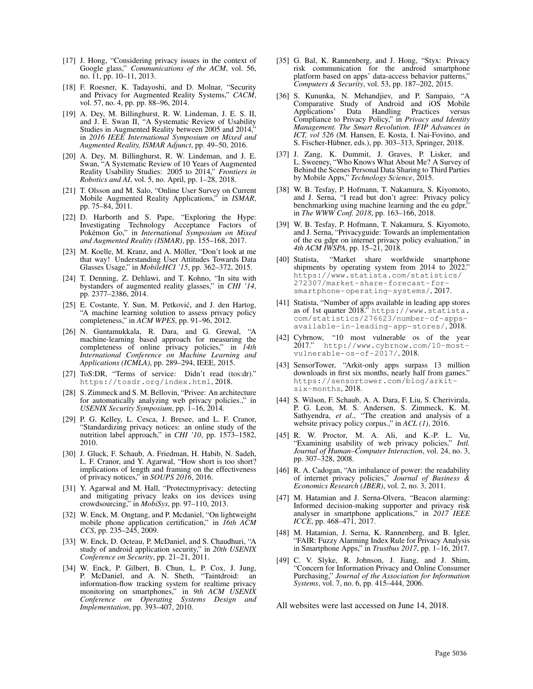- [17] J. Hong, "Considering privacy issues in the context of Google glass," *Communications of the ACM*, vol. 56, no. 11, pp. 10–11, 2013.
- [18] F. Roesner, K. Tadayoshi, and D. Molnar, "Security and Privacy for Augmented Reality Systems," *CACM*, vol. 57, no. 4, pp. pp. 88–96, 2014.
- [19] A. Dey, M. Billinghurst, R. W. Lindeman, J. E. S. II, and J. E. Swan II, "A Systematic Review of Usability Studies in Augmented Reality between 2005 and 2014, in *2016 IEEE International Symposium on Mixed and Augmented Reality, ISMAR Adjunct*, pp. 49–50, 2016.
- [20] A. Dey, M. Billinghurst, R. W. Lindeman, and J. E. Swan, "A Systematic Review of 10 Years of Augmented Reality Usability Studies: 2005 to 2014," *Frontiers in Robotics and AI*, vol. 5, no. April, pp. 1–28, 2018.
- [21] T. Olsson and M. Salo, "Online User Survey on Current Mobile Augmented Reality Applications," in *ISMAR*, pp. 75–84, 2011.
- [22] D. Harborth and S. Pape, "Exploring the Hype: Investigating Technology Acceptance Factors of Pokémon Go," in *International Symposium on Mixed and Augmented Reality (ISMAR)*, pp. 155–168, 2017.
- [23] M. Koelle, M. Kranz, and A. Möller, "Don't look at me that way! Understanding User Attitudes Towards Data Glasses Usage," in *MobileHCI '15*, pp. 362–372, 2015.
- [24] T. Denning, Z. Dehlawi, and T. Kohno, "In situ with bystanders of augmented reality glasses," in *CHI '14*, pp. 2377–2386, 2014.
- [25] E. Costante, Y. Sun, M. Petković, and J. den Hartog, "A machine learning solution to assess privacy policy completeness," in *ACM WPES*, pp. 91–96, 2012.
- [26] N. Guntamukkala, R. Dara, and G. Grewal, "A machine-learning based approach for measuring the completeness of online privacy policies," in *14th International Conference on Machine Learning and Applications (ICMLA)*, pp. 289–294, IEEE, 2015.
- [27] ToS:DR, "Terms of service: Didn't read (tos:dr)." https://tosdr.org/index.html, 2018.
- [28] S. Zimmeck and S. M. Bellovin, "Privee: An architecture for automatically analyzing web privacy policies.," in *USENIX Security Symposium*, pp. 1–16, 2014.
- [29] P. G. Kelley, L. Cesca, J. Bresee, and L. F. Cranor, "Standardizing privacy notices: an online study of the nutrition label approach," in *CHI '10*, pp. 1573–1582, 2010.
- [30] J. Gluck, F. Schaub, A. Friedman, H. Habib, N. Sadeh, L. F. Cranor, and Y. Agarwal, "How short is too short? implications of length and framing on the effectiveness of privacy notices," in *SOUPS 2016*, 2016.
- [31] Y. Agarwal and M. Hall, "Protectmyprivacy: detecting and mitigating privacy leaks on ios devices using crowdsourcing," in *MobiSys*, pp. 97–110, 2013.
- [32] W. Enck, M. Ongtang, and P. Mcdaniel, "On lightweight mobile phone application certification," in *16th ACM CCS*, pp. 235–245, 2009.
- [33] W. Enck, D. Octeau, P. McDaniel, and S. Chaudhuri, "A study of android application security," in *20th USENIX Conference on Security*, pp. 21–21, 2011.
- [34] W. Enck, P. Gilbert, B. Chun, L. P. Cox, J. Jung, P. McDaniel, and A. N. Sheth, "Taintdroid: an information-flow tracking system for realtime privacy monitoring on smartphones," in *9th ACM USENIX Conference on Operating Systems Design and Implementation*, pp. 393–407, 2010.
- [35] G. Bal, K. Rannenberg, and J. Hong, "Styx: Privacy risk communication for the android smartphone platform based on apps' data-access behavior patterns," *Computers & Security*, vol. 53, pp. 187–202, 2015.
- [36] S. Kununka, N. Mehandjiev, and P. Sampaio, "A Comparative Study of Android and iOS Mobile Applications' Data Handling Practices versus Compliance to Privacy Policy," in *Privacy and Identity Management. The Smart Revolution. IFIP Advances in ICT, vol 526* (M. Hansen, E. Kosta, I. Nai-Fovino, and S. Fischer-Hübner, eds.), pp. 303-313, Springer, 2018.
- [37] J. Zang, K. Dummit, J. Graves, P. Lisker, and L. Sweeney, "Who Knows What About Me? A Survey of Behind the Scenes Personal Data Sharing to Third Parties by Mobile Apps," *Technology Science*, 2015.
- [38] W. B. Tesfay, P. Hofmann, T. Nakamura, S. Kiyomoto, and J. Serna, "I read but don't agree: Privacy policy benchmarking using machine learning and the eu gdpr," in *The WWW Conf. 2018*, pp. 163–166, 2018.
- [39] W. B. Tesfay, P. Hofmann, T. Nakamura, S. Kiyomoto, and J. Serna, "Privacyguide: Towards an implementation of the eu gdpr on internet privacy policy evaluation," in *4th ACM IWSPA*, pp. 15–21, 2018.
- [40] Statista, "Market share worldwide smartphone shipments by operating system from 2014 to 2022." https://www.statista.com/statistics/ 272307/market-share-forecast-forsmartphone-operating-systems/, 2017.
- [41] Statista, "Number of apps available in leading app stores as of 1st quarter 2018." https://www.statista. com/statistics/276623/number-of-appsavailable-in-leading-app-stores/, 2018.
- [42] Cybrnow, "10 most vulnerable os of the year 2017." http://www.cybrnow.com/10-mostvulnerable-os-of-2017/, 2018.
- [43] SensorTower, "Arkit-only apps surpass 13 million downloads in first six months, nearly half from games." https://sensortower.com/blog/arkitsix-months, 2018.
- [44] S. Wilson, F. Schaub, A. A. Dara, F. Liu, S. Cherivirala, P. G. Leon, M. S. Andersen, S. Zimmeck, K. M. Sathyendra, *et al.*, "The creation and analysis of a website privacy policy corpus.," in *ACL (1)*, 2016.
- [45] R. W. Proctor, M. A. Ali, and K.-P. L. Vu, "Examining usability of web privacy policies," *Intl. Journal of Human–Computer Interaction*, vol. 24, no. 3, pp. 307–328, 2008.
- [46] R. A. Cadogan, "An imbalance of power: the readability of internet privacy policies," *Journal of Business & Economics Research (JBER)*, vol. 2, no. 3, 2011.
- [47] M. Hatamian and J. Serna-Olvera, "Beacon alarming: Informed decision-making supporter and privacy risk analyser in smartphone applications," in *2017 IEEE ICCE*, pp. 468–471, 2017.
- [48] M. Hatamian, J. Serna, K. Rannenberg, and B. Igler, "FAIR: Fuzzy Alarming Index Rule for Privacy Analysis in Smartphone Apps," in *Trustbus 2017*, pp. 1–16, 2017.
- [49] C. V. Slyke, R. Johnson, J. Jiang, and J. Shim, "Concern for Information Privacy and Online Consumer Purchasing," *Journal of the Association for Information Systems*, vol. 7, no. 6, pp. 415–444, 2006.

All websites were last accessed on June 14, 2018.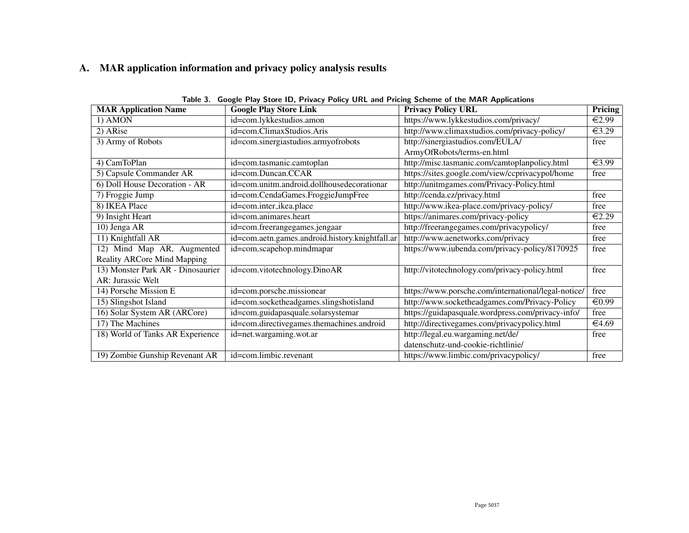# A. MAR application information and privacy policy analysis results

| <b>MAR Application Name</b>        | <b>Google Play Store Link</b>                   | <b>Privacy Policy URL</b>                           | <b>Pricing</b>             |
|------------------------------------|-------------------------------------------------|-----------------------------------------------------|----------------------------|
| 1) AMON                            | id=com.lykkestudios.amon                        | https://www.lykkestudios.com/privacy/               | $\overline{\epsilon 2.99}$ |
| 2) ARise                           | id=com.ClimaxStudios.Aris                       | http://www.climaxstudios.com/privacy-policy/        | €3.29                      |
| 3) Army of Robots                  | id=com.sinergiastudios.armyofrobots             | http://sinergiastudios.com/EULA/                    | free                       |
|                                    |                                                 | ArmyOfRobots/terms-en.html                          |                            |
| 4) CamToPlan                       | id=com.tasmanic.camtoplan                       | http://misc.tasmanic.com/camtoplanpolicy.html       | €3.99                      |
| 5) Capsule Commander AR            | id=com.Duncan.CCAR                              | https://sites.google.com/view/ccprivacypol/home     | free                       |
| 6) Doll House Decoration - AR      | id=com.unitm.android.dollhousedecorationar      | http://unitmgames.com/Privacy-Policy.html           |                            |
| 7) Froggie Jump                    | id=com.CendaGames.FroggieJumpFree               | http://cenda.cz/privacy.html                        | free                       |
| 8) IKEA Place                      | id=com.inter_ikea.place                         | http://www.ikea-place.com/privacy-policy/           | free                       |
| 9) Insight Heart                   | id=com.animares.heart                           | https://animares.com/privacy-policy                 | €2.29                      |
| 10) Jenga AR                       | id=com.freerangegames.jengaar                   | http://freerangegames.com/privacypolicy/            | free                       |
| 11) Knightfall AR                  | id=com.aetn.games.android.history.knightfall.ar | http://www.aenetworks.com/privacy                   | free                       |
| 12) Mind Map AR, Augmented         | id=com.scapehop.mindmapar                       | https://www.iubenda.com/privacy-policy/8170925      | free                       |
| <b>Reality ARCore Mind Mapping</b> |                                                 |                                                     |                            |
| 13) Monster Park AR - Dinosaurier  | id=com.vitotechnology.DinoAR                    | http://vitotechnology.com/privacy-policy.html       | free                       |
| AR: Jurassic Welt                  |                                                 |                                                     |                            |
| 14) Porsche Mission E              | id=com.porsche.missionear                       | https://www.porsche.com/international/legal-notice/ | free                       |
| 15) Slingshot Island               | id=com.socketheadgames.slingshotisland          | http://www.socketheadgames.com/Privacy-Policy       | €0.99                      |
| 16) Solar System AR (ARCore)       | id=com.guidapasquale.solarsystemar              | https://guidapasquale.wordpress.com/privacy-info/   | free                       |
| 17) The Machines                   | id=com.directivegames.themachines.android       | http://directivegames.com/privacypolicy.html        | €4.69                      |
| 18) World of Tanks AR Experience   | id=net.wargaming.wot.ar                         | http://legal.eu.wargaming.net/de/                   | free                       |
|                                    |                                                 | datenschutz-und-cookie-richtlinie/                  |                            |
| 19) Zombie Gunship Revenant AR     | id=com.limbic.revenant                          | https://www.limbic.com/privacypolicy/               | free                       |

Table 3. Google Play Store ID, Privacy Policy URL and Pricing Scheme of the MAR Applications